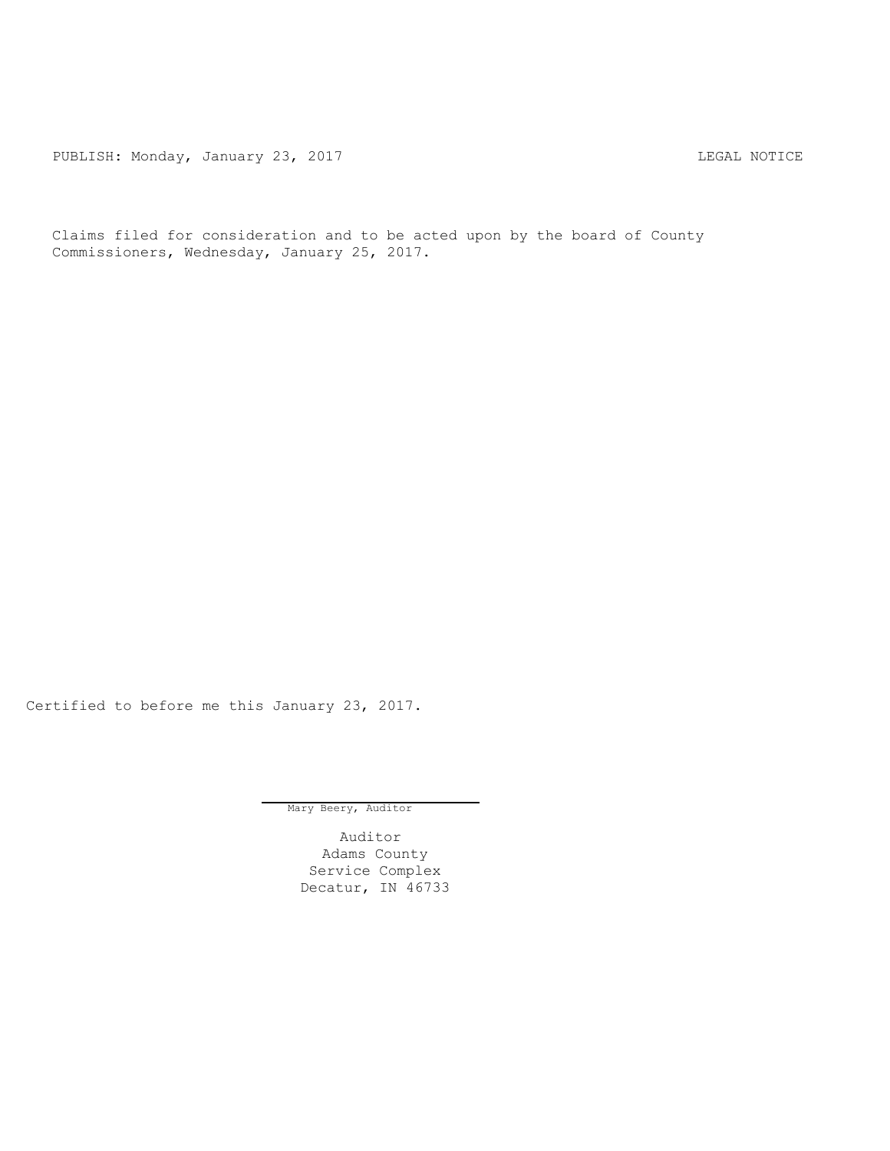PUBLISH: Monday, January 23, 2017 CHANGER CONSTRUCTER CONTROL CONTROL PUBLISH: MOTICE

Claims filed for consideration and to be acted upon by the board of County Commissioners, Wednesday, January 25, 2017.

Certified to before me this January 23, 2017.

Mary Beery, Auditor

Auditor Adams County Service Complex Decatur, IN 46733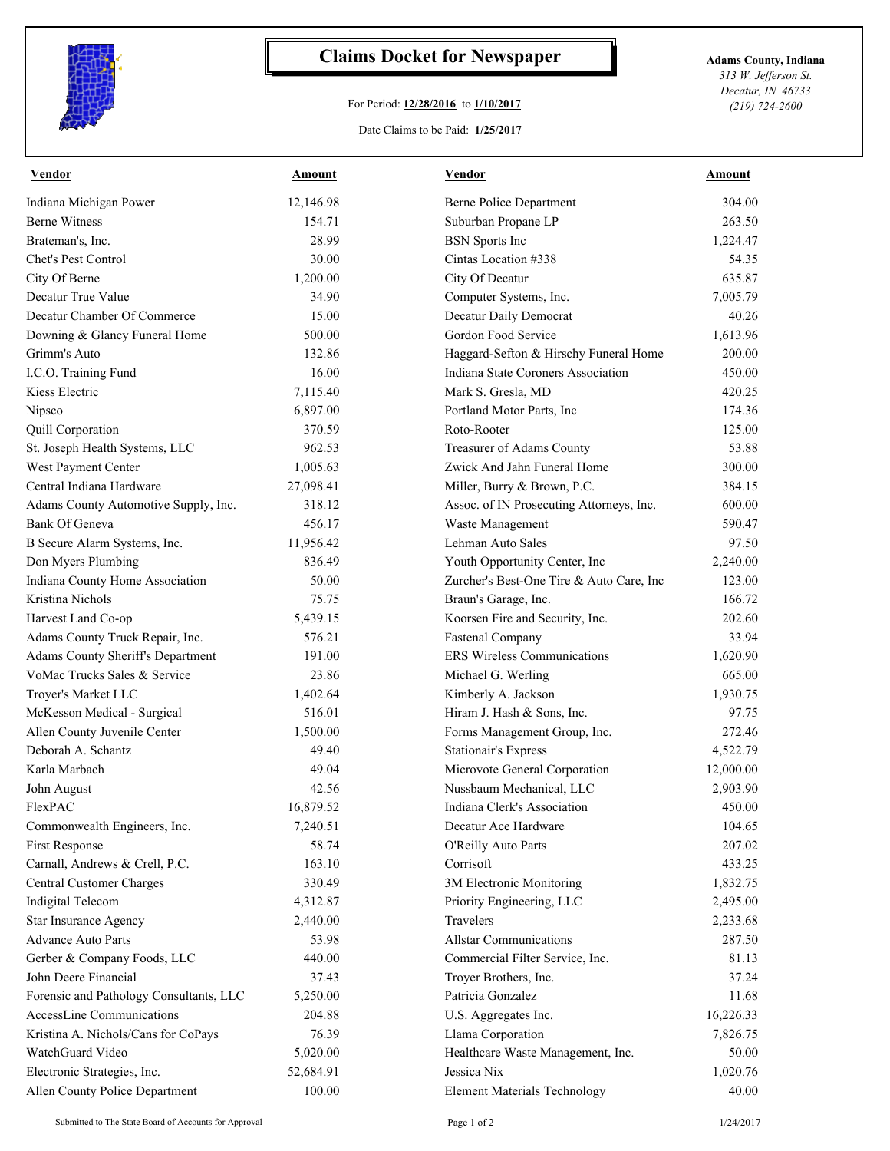

## **Claims Docket for Newspaper Adams County, Indiana**

## For Period: **12/28/2016** to **1/10/2017**

*313 W. Jefferson St. Decatur, IN 46733 (219) 724-2600*

## Date Claims to be Paid: **1/25/2017**

| <b>Vendor</b>                           | <b>Amount</b> | <b>Vendor</b>                            | Amount    |
|-----------------------------------------|---------------|------------------------------------------|-----------|
| Indiana Michigan Power                  | 12,146.98     | Berne Police Department                  | 304.00    |
| <b>Berne Witness</b>                    | 154.71        | Suburban Propane LP                      | 263.50    |
| Brateman's, Inc.                        | 28.99         | <b>BSN</b> Sports Inc                    | 1,224.47  |
| Chet's Pest Control                     | 30.00         | Cintas Location #338                     | 54.35     |
| City Of Berne                           | 1,200.00      | City Of Decatur                          | 635.87    |
| Decatur True Value                      | 34.90         | Computer Systems, Inc.                   | 7,005.79  |
| Decatur Chamber Of Commerce             | 15.00         | Decatur Daily Democrat                   | 40.26     |
| Downing & Glancy Funeral Home           | 500.00        | Gordon Food Service                      | 1,613.96  |
| Grimm's Auto                            | 132.86        | Haggard-Sefton & Hirschy Funeral Home    | 200.00    |
| I.C.O. Training Fund                    | 16.00         | Indiana State Coroners Association       | 450.00    |
| Kiess Electric                          | 7,115.40      | Mark S. Gresla, MD                       | 420.25    |
| Nipsco                                  | 6,897.00      | Portland Motor Parts, Inc                | 174.36    |
| Quill Corporation                       | 370.59        | Roto-Rooter                              | 125.00    |
| St. Joseph Health Systems, LLC          | 962.53        | Treasurer of Adams County                | 53.88     |
| West Payment Center                     | 1,005.63      | Zwick And Jahn Funeral Home              | 300.00    |
| Central Indiana Hardware                | 27,098.41     | Miller, Burry & Brown, P.C.              | 384.15    |
| Adams County Automotive Supply, Inc.    | 318.12        | Assoc. of IN Prosecuting Attorneys, Inc. | 600.00    |
| Bank Of Geneva                          | 456.17        | Waste Management                         | 590.47    |
| B Secure Alarm Systems, Inc.            | 11,956.42     | Lehman Auto Sales                        | 97.50     |
| Don Myers Plumbing                      | 836.49        | Youth Opportunity Center, Inc            | 2,240.00  |
| Indiana County Home Association         | 50.00         | Zurcher's Best-One Tire & Auto Care, Inc | 123.00    |
| Kristina Nichols                        | 75.75         | Braun's Garage, Inc.                     | 166.72    |
| Harvest Land Co-op                      | 5,439.15      | Koorsen Fire and Security, Inc.          | 202.60    |
| Adams County Truck Repair, Inc.         | 576.21        | <b>Fastenal Company</b>                  | 33.94     |
| Adams County Sheriff's Department       | 191.00        | <b>ERS</b> Wireless Communications       | 1,620.90  |
| VoMac Trucks Sales & Service            | 23.86         | Michael G. Werling                       | 665.00    |
| Troyer's Market LLC                     | 1,402.64      | Kimberly A. Jackson                      | 1,930.75  |
| McKesson Medical - Surgical             | 516.01        | Hiram J. Hash & Sons, Inc.               | 97.75     |
| Allen County Juvenile Center            | 1,500.00      | Forms Management Group, Inc.             | 272.46    |
| Deborah A. Schantz                      | 49.40         | <b>Stationair's Express</b>              | 4,522.79  |
| Karla Marbach                           | 49.04         | Microvote General Corporation            | 12,000.00 |
| John August                             | 42.56         | Nussbaum Mechanical, LLC                 | 2,903.90  |
| <b>FlexPAC</b>                          | 16,879.52     | Indiana Clerk's Association              | 450.00    |
| Commonwealth Engineers, Inc.            | 7,240.51      | Decatur Ace Hardware                     | 104.65    |
| First Response                          | 58.74         | O'Reilly Auto Parts                      | 207.02    |
| Carnall, Andrews & Crell, P.C.          | 163.10        | Corrisoft                                | 433.25    |
| Central Customer Charges                | 330.49        | 3M Electronic Monitoring                 | 1,832.75  |
| Indigital Telecom                       | 4,312.87      | Priority Engineering, LLC                | 2,495.00  |
| Star Insurance Agency                   | 2,440.00      | Travelers                                | 2,233.68  |
| <b>Advance Auto Parts</b>               | 53.98         | <b>Allstar Communications</b>            | 287.50    |
| Gerber & Company Foods, LLC             | 440.00        | Commercial Filter Service, Inc.          | 81.13     |
| John Deere Financial                    | 37.43         | Troyer Brothers, Inc.                    | 37.24     |
| Forensic and Pathology Consultants, LLC | 5,250.00      | Patricia Gonzalez                        | 11.68     |
| AccessLine Communications               | 204.88        | U.S. Aggregates Inc.                     | 16,226.33 |
| Kristina A. Nichols/Cans for CoPays     | 76.39         | Llama Corporation                        | 7,826.75  |
| WatchGuard Video                        | 5,020.00      | Healthcare Waste Management, Inc.        | 50.00     |
| Electronic Strategies, Inc.             | 52,684.91     | Jessica Nix                              | 1,020.76  |
| Allen County Police Department          | 100.00        | <b>Element Materials Technology</b>      | 40.00     |
|                                         |               |                                          |           |